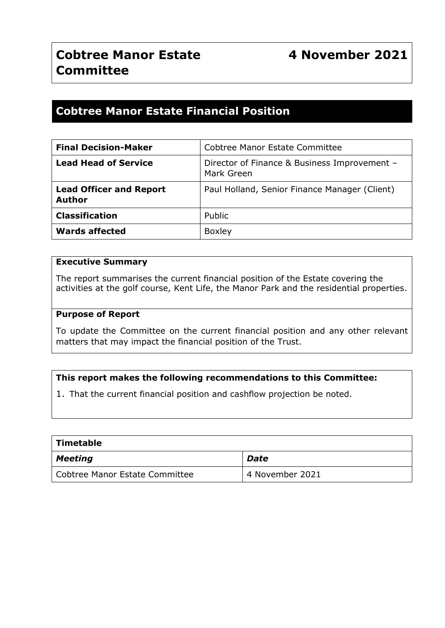# **Cobtree Manor Estate Financial Position**

| <b>Final Decision-Maker</b>                     | Cobtree Manor Estate Committee                             |  |  |
|-------------------------------------------------|------------------------------------------------------------|--|--|
| <b>Lead Head of Service</b>                     | Director of Finance & Business Improvement -<br>Mark Green |  |  |
| <b>Lead Officer and Report</b><br><b>Author</b> | Paul Holland, Senior Finance Manager (Client)              |  |  |
| <b>Classification</b>                           | Public                                                     |  |  |
| <b>Wards affected</b>                           | <b>Boxley</b>                                              |  |  |

#### **Executive Summary**

The report summarises the current financial position of the Estate covering the activities at the golf course, Kent Life, the Manor Park and the residential properties.

#### **Purpose of Report**

To update the Committee on the current financial position and any other relevant matters that may impact the financial position of the Trust.

### **This report makes the following recommendations to this Committee:**

1. That the current financial position and cashflow projection be noted.

| <b>Timetable</b>               |                 |  |  |  |  |  |
|--------------------------------|-----------------|--|--|--|--|--|
| <b>Meeting</b>                 | <b>Date</b>     |  |  |  |  |  |
| Cobtree Manor Estate Committee | 4 November 2021 |  |  |  |  |  |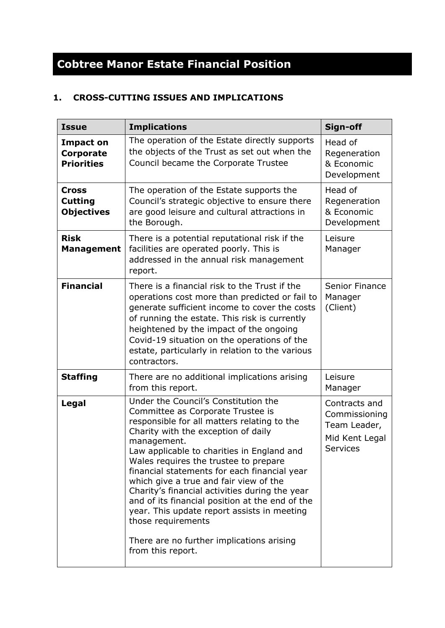# **Cobtree Manor Estate Financial Position**

# **1. CROSS-CUTTING ISSUES AND IMPLICATIONS**

| <b>Issue</b>                                              | <b>Implications</b>                                                                                                                                                                                                                                                                                                                                                                                                                                                                                                                                                                                         | Sign-off                                                                     |
|-----------------------------------------------------------|-------------------------------------------------------------------------------------------------------------------------------------------------------------------------------------------------------------------------------------------------------------------------------------------------------------------------------------------------------------------------------------------------------------------------------------------------------------------------------------------------------------------------------------------------------------------------------------------------------------|------------------------------------------------------------------------------|
| <b>Impact on</b><br><b>Corporate</b><br><b>Priorities</b> | The operation of the Estate directly supports<br>the objects of the Trust as set out when the<br>Council became the Corporate Trustee                                                                                                                                                                                                                                                                                                                                                                                                                                                                       | Head of<br>Regeneration<br>& Economic<br>Development                         |
| <b>Cross</b><br><b>Cutting</b><br><b>Objectives</b>       | The operation of the Estate supports the<br>Council's strategic objective to ensure there<br>are good leisure and cultural attractions in<br>the Borough.                                                                                                                                                                                                                                                                                                                                                                                                                                                   | Head of<br>Regeneration<br>& Economic<br>Development                         |
| <b>Risk</b><br><b>Management</b>                          | There is a potential reputational risk if the<br>facilities are operated poorly. This is<br>addressed in the annual risk management<br>report.                                                                                                                                                                                                                                                                                                                                                                                                                                                              | Leisure<br>Manager                                                           |
| <b>Financial</b>                                          | There is a financial risk to the Trust if the<br>operations cost more than predicted or fail to<br>generate sufficient income to cover the costs<br>of running the estate. This risk is currently<br>heightened by the impact of the ongoing<br>Covid-19 situation on the operations of the<br>estate, particularly in relation to the various<br>contractors.                                                                                                                                                                                                                                              | <b>Senior Finance</b><br>Manager<br>(Client)                                 |
| <b>Staffing</b>                                           | There are no additional implications arising<br>from this report.                                                                                                                                                                                                                                                                                                                                                                                                                                                                                                                                           | Leisure<br>Manager                                                           |
| <b>Legal</b>                                              | Under the Council's Constitution the<br>Committee as Corporate Trustee is<br>responsible for all matters relating to the<br>Charity with the exception of daily<br>management.<br>Law applicable to charities in England and<br>Wales requires the trustee to prepare<br>financial statements for each financial year<br>which give a true and fair view of the<br>Charity's financial activities during the year<br>and of its financial position at the end of the<br>year. This update report assists in meeting<br>those requirements<br>There are no further implications arising<br>from this report. | Contracts and<br>Commissioning<br>Team Leader,<br>Mid Kent Legal<br>Services |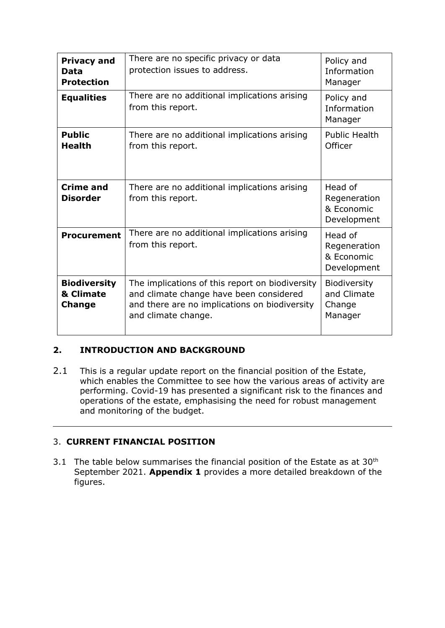| <b>Privacy and</b><br>Data<br><b>Protection</b>   | There are no specific privacy or data<br>protection issues to address.                                                                                             | Policy and<br>Information<br>Manager                 |
|---------------------------------------------------|--------------------------------------------------------------------------------------------------------------------------------------------------------------------|------------------------------------------------------|
| <b>Equalities</b>                                 | There are no additional implications arising<br>from this report.                                                                                                  | Policy and<br>Information<br>Manager                 |
| <b>Public</b><br><b>Health</b>                    | There are no additional implications arising<br>from this report.                                                                                                  | <b>Public Health</b><br>Officer                      |
| <b>Crime and</b><br><b>Disorder</b>               | There are no additional implications arising<br>from this report.                                                                                                  | Head of<br>Regeneration<br>& Economic<br>Development |
| <b>Procurement</b>                                | There are no additional implications arising<br>from this report.                                                                                                  | Head of<br>Regeneration<br>& Economic<br>Development |
| <b>Biodiversity</b><br>& Climate<br><b>Change</b> | The implications of this report on biodiversity<br>and climate change have been considered<br>and there are no implications on biodiversity<br>and climate change. | Biodiversity<br>and Climate<br>Change<br>Manager     |

# **2. INTRODUCTION AND BACKGROUND**

2.1 This is a regular update report on the financial position of the Estate, which enables the Committee to see how the various areas of activity are performing. Covid-19 has presented a significant risk to the finances and operations of the estate, emphasising the need for robust management and monitoring of the budget.

# 3. **CURRENT FINANCIAL POSITION**

3.1 The table below summarises the financial position of the Estate as at  $30<sup>th</sup>$ September 2021. **Appendix 1** provides a more detailed breakdown of the figures.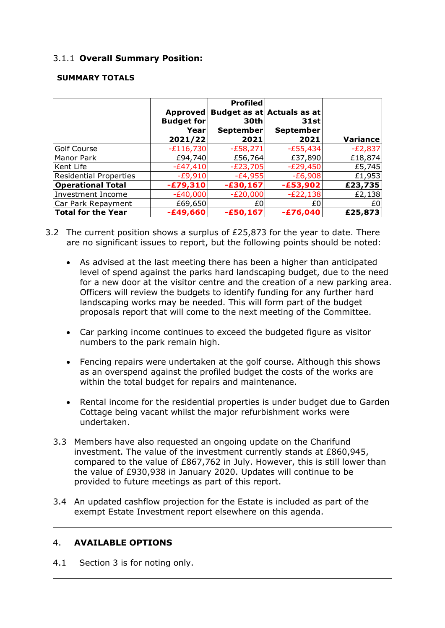# 3.1.1 **Overall Summary Position:**

#### **SUMMARY TOTALS**

|                               |                   | <b>Profiled</b> |                            |                 |
|-------------------------------|-------------------|-----------------|----------------------------|-----------------|
|                               | Approved          |                 | Budget as at Actuals as at |                 |
|                               | <b>Budget for</b> | 30th            | 31st                       |                 |
|                               | Yearl             | September       | <b>September</b>           |                 |
|                               | 2021/22           | 2021            | 2021                       | <b>Variance</b> |
| <b>Golf Course</b>            | $-E116,730$       | $-E58,271$      | $-E55,434$                 | $-E2,837$       |
| Manor Park                    | £94,740           | £56,764         | £37,890                    | £18,874         |
| Kent Life                     | $-E47,410$        | $-E23,705$      | $-E29,450$                 | £5,745          |
| <b>Residential Properties</b> | $-E9,910$         | $-E4,955$       | $-E6,908$                  | £1,953          |
| <b>Operational Total</b>      | $-£79,310$        | $-£30,167$      | $-£53,902$                 | £23,735         |
| <b>Investment Income</b>      | $-E40,000$        | $-E20,000$      | $-E22,138$                 | £2,138          |
| Car Park Repayment            | £69,650           | £0              | £0                         | £0              |
| Total for the Year            | $-£49,660$        | $-£50,167$      | -£76,040                   | £25,873         |

- 3.2 The current position shows a surplus of £25,873 for the year to date. There are no significant issues to report, but the following points should be noted:
	- As advised at the last meeting there has been a higher than anticipated level of spend against the parks hard landscaping budget, due to the need for a new door at the visitor centre and the creation of a new parking area. Officers will review the budgets to identify funding for any further hard landscaping works may be needed. This will form part of the budget proposals report that will come to the next meeting of the Committee.
	- Car parking income continues to exceed the budgeted figure as visitor numbers to the park remain high.
	- Fencing repairs were undertaken at the golf course. Although this shows as an overspend against the profiled budget the costs of the works are within the total budget for repairs and maintenance.
	- Rental income for the residential properties is under budget due to Garden Cottage being vacant whilst the major refurbishment works were undertaken.
	- 3.3 Members have also requested an ongoing update on the Charifund investment. The value of the investment currently stands at £860,945, compared to the value of £867,762 in July. However, this is still lower than the value of £930,938 in January 2020. Updates will continue to be provided to future meetings as part of this report.
	- 3.4 An updated cashflow projection for the Estate is included as part of the exempt Estate Investment report elsewhere on this agenda.

### 4. **AVAILABLE OPTIONS**

4.1 Section 3 is for noting only.